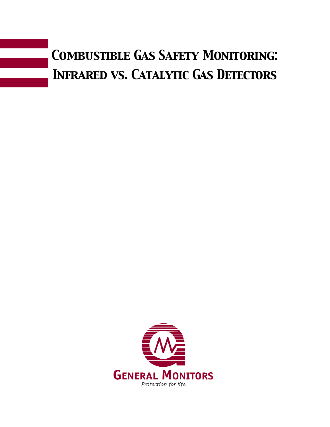

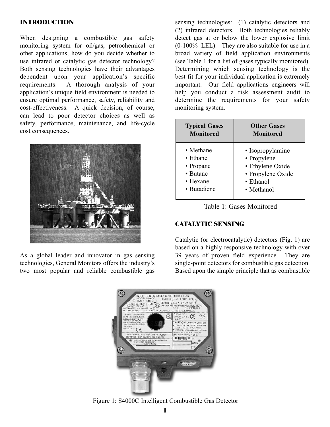# **INTRODUCTION**

When designing a combustible gas safety monitoring system for oil/gas, petrochemical or other applications, how do you decide whether to use infrared or catalytic gas detector technology? Both sensing technologies have their advantages dependent upon your application's specific requirements. A thorough analysis of your application's unique field environment is needed to ensure optimal performance, safety, reliability and cost-effectiveness. A quick decision, of course, can lead to poor detector choices as well as safety, performance, maintenance, and life-cycle cost consequences.



As a global leader and innovator in gas sensing technologies, General Monitors offers the industry's two most popular and reliable combustible gas

sensing technologies: (1) catalytic detectors and (2) infrared detectors. Both technologies reliably detect gas at or below the lower explosive limit (0-100% LEL). They are also suitable for use in a broad variety of field application environments (see Table 1 for a list of gases typically monitored). Determining which sensing technology is the best fit for your individual application is extremely important. Our field applications engineers will help you conduct a risk assessment audit to determine the requirements for your safety monitoring system.

| <b>Typical Gases</b> | <b>Other Gases</b> |
|----------------------|--------------------|
| <b>Monitored</b>     | <b>Monitored</b>   |
| • Methane            | • Isopropylamine   |
| $\bullet$ Ethane     | • Propylene        |
| • Propane            | · Ethylene Oxide   |
| • Butane             | • Propylene Oxide  |
| $\bullet$ Hexane     | $\bullet$ Ethanol  |
| • Butadiene          | • Methanol         |



# **CATALYTIC SENSING**

Catalytic (or electrocatalytic) detectors (Fig. 1) are based on a highly responsive technology with over 39 years of proven field experience. They are single-point detectors for combustible gas detection. Based upon the simple principle that as combustible



Figure 1: S4000C Intelligent Combustible Gas Detector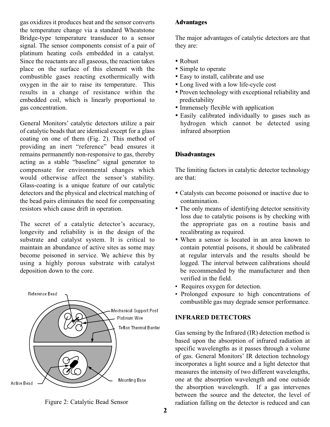gas oxidizes it produces heat and the sensor converts the temperature change via a standard Wheatstone Bridge-type temperature transducer to a sensor signal. The sensor components consist of a pair of platinum heating coils embedded in a catalyst. Since the reactants are all gaseous, the reaction takes place on the surface of this element with the combustible gases reacting exothermically with oxygen in the air to raise its temperature. This results in a change of resistance within the embedded coil, which is linearly proportional to gas concentration.

General Monitors' catalytic detectors utilize a pair of catalytic beads that are identical except for a glass coating on one of them (Fig. 2). This method of providing an inert "reference" bead ensures it remains permanently non-responsive to gas, thereby acting as a stable "baseline" signal generator to compensate for environmental changes which would otherwise affect the sensor's stability. Glass-coating is a unique feature of our catalytic detectors and the physical and electrical matching of the bead pairs eliminates the need for compensating resistors which cause drift in operation.

The secret of a catalytic detector's accuracy, longevity and reliability is in the design of the substrate and catalyst system. It is critical to maintain an abundance of active sites as some may become poisoned in service. We achieve this by using a highly porous substrate with catalyst deposition down to the core.



Figure 2: Catalytic Bead Sensor

## **Advantages**

The major advantages of catalytic detectors are that they are:

- Robust
- Simple to operate
- Easy to install, calibrate and use
- Long lived with a low life-cycle cost
- Proven technology with exceptional reliability and predictability
- Immensely flexible with application
- Easily calibrated individually to gases such as hydrogen which cannot be detected using infrared absorption

## **Disadvantages**

The limiting factors in catalytic detector technology are that:

- Catalysts can become poisoned or inactive due to contamination.
- The only means of identifying detector sensitivity loss due to catalytic poisons is by checking with the appropriate gas on a routine basis and recalibrating as required.
- When a sensor is located in an area known to contain potential poisons, it should be calibrated at regular intervals and the results should be logged. The interval between calibrations should be recommended by the manufacturer and then verified in the field.
- Requires oxygen for detection.
- Prolonged exposure to high concentrations of combustible gas may degrade sensor performance.

## **INFRARED DETECTORS**

Gas sensing by the Infrared (IR) detection method is based upon the absorption of infrared radiation at specific wavelengths as it passes through a volume of gas. General Monitors' IR detection technology incorporates a light source and a light detector that measures the intensity of two different wavelengths, one at the absorption wavelength and one outside the absorption wavelength. If a gas intervenes between the source and the detector, the level of radiation falling on the detector is reduced and can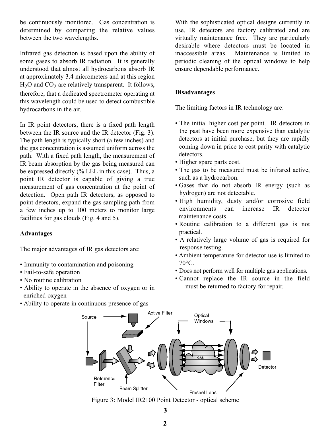be continuously monitored. Gas concentration is determined by comparing the relative values between the two wavelengths.

Infrared gas detection is based upon the ability of some gases to absorb IR radiation. It is generally understood that almost all hydrocarbons absorb IR at approximately 3.4 micrometers and at this region  $H<sub>2</sub>O$  and  $CO<sub>2</sub>$  are relatively transparent. It follows, therefore, that a dedicated spectrometer operating at this wavelength could be used to detect combustible hydrocarbons in the air.

In IR point detectors, there is a fixed path length between the IR source and the IR detector (Fig. 3). The path length is typically short (a few inches) and the gas concentration is assumed uniform across the path. With a fixed path length, the measurement of IR beam absorption by the gas being measured can be expressed directly (% LEL in this case). Thus, a point IR detector is capable of giving a true measurement of gas concentration at the point of detection. Open path IR detectors, as opposed to point detectors, expand the gas sampling path from a few inches up to 100 meters to monitor large facilities for gas clouds (Fig. 4 and 5).

# **Advantages**

The major advantages of IR gas detectors are:

- Immunity to contamination and poisoning
- Fail-to-safe operation
- No routine calibration
- Ability to operate in the absence of oxygen or in enriched oxygen
- Ability to operate in continuous presence of gas

With the sophisticated optical designs currently in use, IR detectors are factory calibrated and are virtually maintenance free. They are particularly desirable where detectors must be located in<br>inaccessible areas Maintenance is limited to Maintenance is limited to periodic cleaning of the optical windows to help ensure dependable performance.

# **Disadvantages**

The limiting factors in IR technology are:

- The initial higher cost per point. IR detectors in the past have been more expensive than catalytic detectors at initial purchase, but they are rapidly coming down in price to cost parity with catalytic detectors.
- Higher spare parts cost.
- The gas to be measured must be infrared active, such as a hydrocarbon.
- Gases that do not absorb IR energy (such as hydrogen) are not detectable.
- High humidity, dusty and/or corrosive field environments can increase IR detector maintenance costs.
- Routine calibration to a different gas is not practical.
- A relatively large volume of gas is required for response testing.
- Ambient temperature for detector use is limited to 70°C.
- Does not perform well for multiple gas applications.
- Cannot replace the IR source in the field – must be returned to factory for repair.



Figure 3: Model IR2100 Point Detector - optical scheme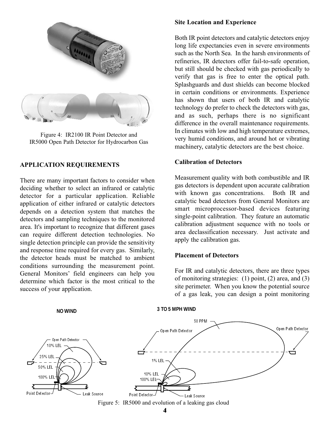

Figure 4: IR2100 IR Point Detector and IR5000 Open Path Detector for Hydrocarbon Gas

### **APPLICATION REQUIREMENTS**

There are many important factors to consider when deciding whether to select an infrared or catalytic detector for a particular application. Reliable application of either infrared or catalytic detectors depends on a detection system that matches the detectors and sampling techniques to the monitored area. It's important to recognize that different gases can require different detection technologies. No single detection principle can provide the sensitivity and response time required for every gas. Similarly, the detector heads must be matched to ambient conditions surrounding the measurement point. General Monitors' field engineers can help you determine which factor is the most critical to the success of your application.

#### **Site Location and Experience**

Both IR point detectors and catalytic detectors enjoy long life expectancies even in severe environments such as the North Sea. In the harsh environments of refineries, IR detectors offer fail-to-safe operation, but still should be checked with gas periodically to verify that gas is free to enter the optical path. Splashguards and dust shields can become blocked in certain conditions or environments. Experience has shown that users of both IR and catalytic technology do prefer to check the detectors with gas, and as such, perhaps there is no significant difference in the overall maintenance requirements. In climates with low and high temperature extremes, very humid conditions, and around hot or vibrating machinery, catalytic detectors are the best choice.

### **Calibration of Detectors**

Measurement quality with both combustible and IR gas detectors is dependent upon accurate calibration with known gas concentrations. Both IR and catalytic bead detectors from General Monitors are smart microprocessor-based devices featuring single-point calibration. They feature an automatic calibration adjustment sequence with no tools or area declassification necessary. Just activate and apply the calibration gas.

### **Placement of Detectors**

For IR and catalytic detectors, there are three types of monitoring strategies: (1) point, (2) area, and (3) site perimeter. When you know the potential source of a gas leak, you can design a point monitoring



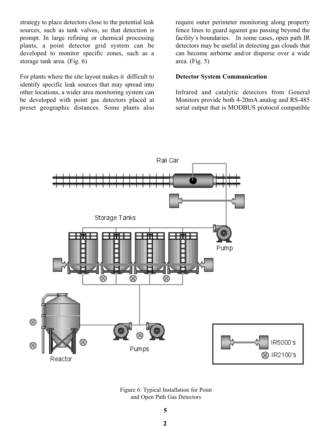strategy to place detectors close to the potential leak sources, such as tank valves, so that detection is prompt. In large refining or chemical processing plants, a point detector grid system can be developed to monitor specific zones, such as a storage tank area. (Fig. 6)

For plants where the site layout makes it difficult to identify specific leak sources that may spread into other locations, a wider area monitoring system can be developed with point gas detectors placed at preset geographic distances. Some plants also require outer perimeter monitoring along property fence lines to guard against gas passing beyond the facility's boundaries. In some cases, open path IR detectors may be useful in detecting gas clouds that can become airborne and/or disperse over a wide area. (Fig. 5)

## **Detector System Communication**

Infrared and catalytic detectors from General Monitors provide both 4-20mA analog and RS-485 serial output that is MODBUS protocol compatible



Figure 6: Typical Installation for Point and Open Path Gas Detectors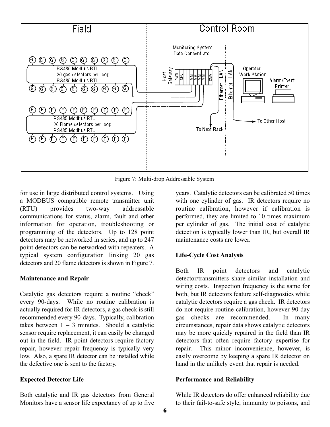

Figure 7: Multi-drop Addressable System

for use in large distributed control systems. Using a MODBUS compatible remote transmitter unit (RTU) provides two-way addressable communications for status, alarm, fault and other information for operation, troubleshooting or programming of the detectors. Up to 128 point detectors may be networked in series, and up to 247 point detectors can be networked with repeaters. A typical system configuration linking 20 gas detectors and 20 flame detectors is shown in Figure 7.

#### **Maintenance and Repair**

Catalytic gas detectors require a routine "check" every 90-days. While no routine calibration is actually required for IR detectors, a gas check is still recommended every 90-days. Typically, calibration takes between  $1 - 3$  minutes. Should a catalytic sensor require replacement, it can easily be changed out in the field. IR point detectors require factory repair, however repair frequency is typically very low. Also, a spare IR detector can be installed while the defective one is sent to the factory.

### **Expected Detector Life**

Both catalytic and IR gas detectors from General Monitors have a sensor life expectancy of up to five years. Catalytic detectors can be calibrated 50 times with one cylinder of gas. IR detectors require no routine calibration, however if calibration is performed, they are limited to 10 times maximum per cylinder of gas. The initial cost of catalytic detection is typically lower than IR, but overall IR maintenance costs are lower.

### **Life-Cycle Cost Analysis**

Both IR point detectors and catalytic detector/transmitters share similar installation and wiring costs. Inspection frequency is the same for both, but IR detectors feature self-diagnostics while catalytic detectors require a gas check. IR detectors do not require routine calibration, however 90-day gas checks are recommended. In many circumstances, repair data shows catalytic detectors may be more quickly repaired in the field than IR detectors that often require factory expertise for repair. This minor inconvenience, however, is easily overcome by keeping a spare IR detector on hand in the unlikely event that repair is needed.

#### **Performance and Reliability**

While IR detectors do offer enhanced reliability due to their fail-to-safe style, immunity to poisons, and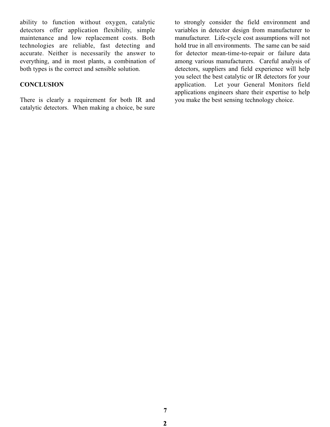ability to function without oxygen, catalytic detectors offer application flexibility, simple maintenance and low replacement costs. Both technologies are reliable, fast detecting and accurate. Neither is necessarily the answer to everything, and in most plants, a combination of both types is the correct and sensible solution.

# **CONCLUSION**

There is clearly a requirement for both IR and catalytic detectors. When making a choice, be sure

to strongly consider the field environment and variables in detector design from manufacturer to manufacturer. Life-cycle cost assumptions will not hold true in all environments. The same can be said for detector mean-time-to-repair or failure data among various manufacturers. Careful analysis of detectors, suppliers and field experience will help you select the best catalytic or IR detectors for your application. Let your General Monitors field applications engineers share their expertise to help you make the best sensing technology choice.